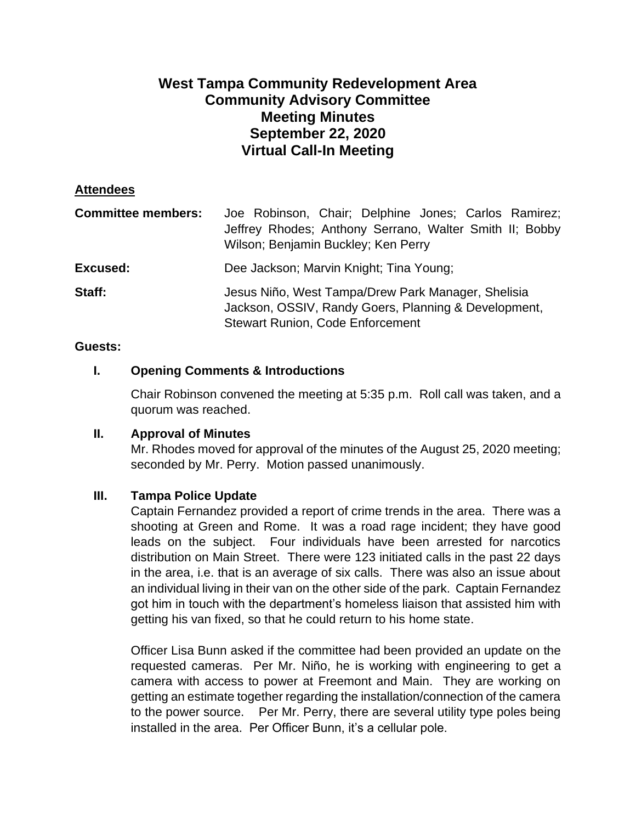# **West Tampa Community Redevelopment Area Community Advisory Committee Meeting Minutes September 22, 2020 Virtual Call-In Meeting**

#### **Attendees**

| <b>Committee members:</b> | Joe Robinson, Chair; Delphine Jones; Carlos Ramirez;<br>Jeffrey Rhodes; Anthony Serrano, Walter Smith II; Bobby<br>Wilson; Benjamin Buckley; Ken Perry |
|---------------------------|--------------------------------------------------------------------------------------------------------------------------------------------------------|
| <b>Excused:</b>           | Dee Jackson; Marvin Knight; Tina Young;                                                                                                                |
| Staff:                    | Jesus Niño, West Tampa/Drew Park Manager, Shelisia<br>Jackson, OSSIV, Randy Goers, Planning & Development,<br><b>Stewart Runion, Code Enforcement</b>  |

#### **Guests:**

## **I. Opening Comments & Introductions**

Chair Robinson convened the meeting at 5:35 p.m. Roll call was taken, and a quorum was reached.

#### **II. Approval of Minutes**

Mr. Rhodes moved for approval of the minutes of the August 25, 2020 meeting; seconded by Mr. Perry. Motion passed unanimously.

#### **III. Tampa Police Update**

Captain Fernandez provided a report of crime trends in the area. There was a shooting at Green and Rome. It was a road rage incident; they have good leads on the subject. Four individuals have been arrested for narcotics distribution on Main Street. There were 123 initiated calls in the past 22 days in the area, i.e. that is an average of six calls. There was also an issue about an individual living in their van on the other side of the park. Captain Fernandez got him in touch with the department's homeless liaison that assisted him with getting his van fixed, so that he could return to his home state.

Officer Lisa Bunn asked if the committee had been provided an update on the requested cameras. Per Mr. Niño, he is working with engineering to get a camera with access to power at Freemont and Main. They are working on getting an estimate together regarding the installation/connection of the camera to the power source. Per Mr. Perry, there are several utility type poles being installed in the area. Per Officer Bunn, it's a cellular pole.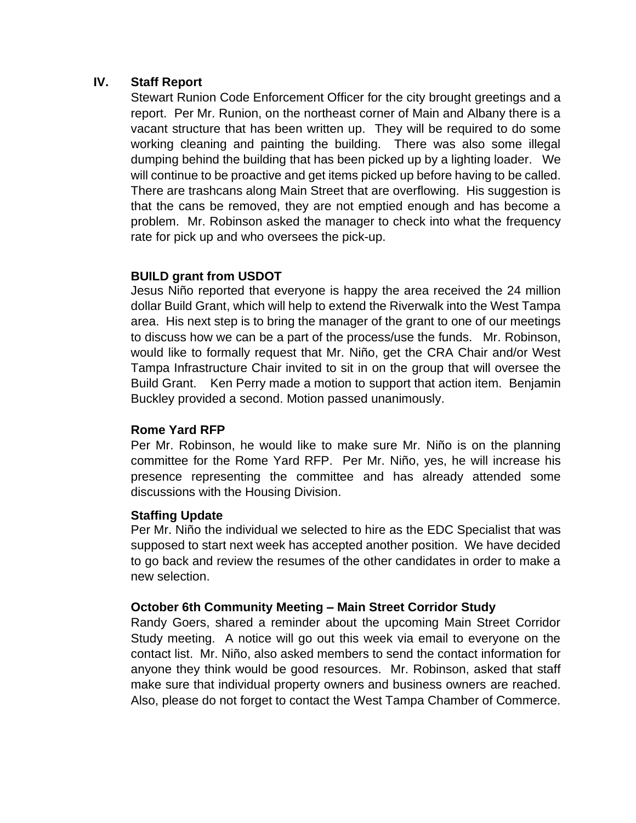## **IV. Staff Report**

Stewart Runion Code Enforcement Officer for the city brought greetings and a report. Per Mr. Runion, on the northeast corner of Main and Albany there is a vacant structure that has been written up. They will be required to do some working cleaning and painting the building. There was also some illegal dumping behind the building that has been picked up by a lighting loader. We will continue to be proactive and get items picked up before having to be called. There are trashcans along Main Street that are overflowing. His suggestion is that the cans be removed, they are not emptied enough and has become a problem. Mr. Robinson asked the manager to check into what the frequency rate for pick up and who oversees the pick-up.

# **BUILD grant from USDOT**

Jesus Niño reported that everyone is happy the area received the 24 million dollar Build Grant, which will help to extend the Riverwalk into the West Tampa area. His next step is to bring the manager of the grant to one of our meetings to discuss how we can be a part of the process/use the funds. Mr. Robinson, would like to formally request that Mr. Niño, get the CRA Chair and/or West Tampa Infrastructure Chair invited to sit in on the group that will oversee the Build Grant. Ken Perry made a motion to support that action item. Benjamin Buckley provided a second. Motion passed unanimously.

## **Rome Yard RFP**

Per Mr. Robinson, he would like to make sure Mr. Niño is on the planning committee for the Rome Yard RFP. Per Mr. Niño, yes, he will increase his presence representing the committee and has already attended some discussions with the Housing Division.

## **Staffing Update**

Per Mr. Niño the individual we selected to hire as the EDC Specialist that was supposed to start next week has accepted another position. We have decided to go back and review the resumes of the other candidates in order to make a new selection.

## **October 6th Community Meeting – Main Street Corridor Study**

Randy Goers, shared a reminder about the upcoming Main Street Corridor Study meeting. A notice will go out this week via email to everyone on the contact list. Mr. Niño, also asked members to send the contact information for anyone they think would be good resources. Mr. Robinson, asked that staff make sure that individual property owners and business owners are reached. Also, please do not forget to contact the West Tampa Chamber of Commerce.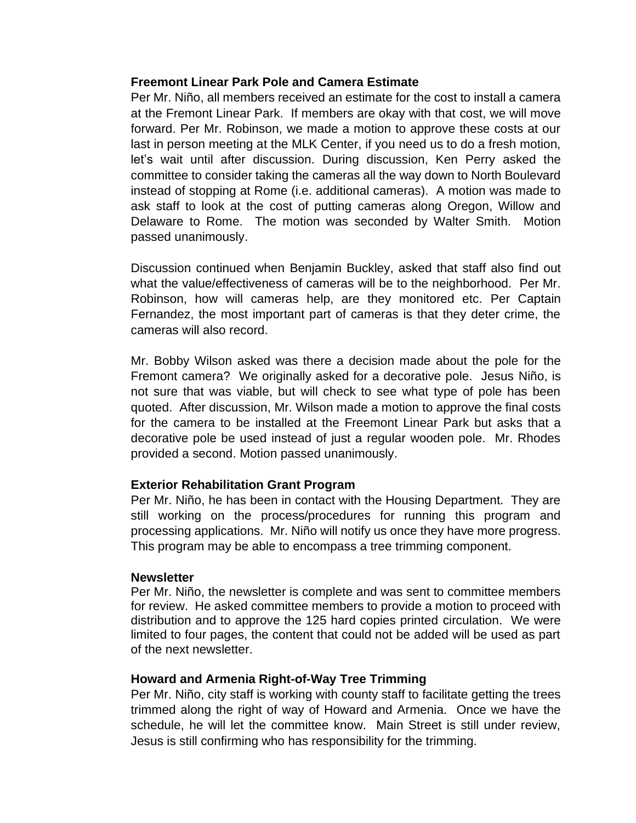#### **Freemont Linear Park Pole and Camera Estimate**

Per Mr. Niño, all members received an estimate for the cost to install a camera at the Fremont Linear Park. If members are okay with that cost, we will move forward. Per Mr. Robinson, we made a motion to approve these costs at our last in person meeting at the MLK Center, if you need us to do a fresh motion, let's wait until after discussion. During discussion, Ken Perry asked the committee to consider taking the cameras all the way down to North Boulevard instead of stopping at Rome (i.e. additional cameras). A motion was made to ask staff to look at the cost of putting cameras along Oregon, Willow and Delaware to Rome. The motion was seconded by Walter Smith. Motion passed unanimously.

Discussion continued when Benjamin Buckley, asked that staff also find out what the value/effectiveness of cameras will be to the neighborhood. Per Mr. Robinson, how will cameras help, are they monitored etc. Per Captain Fernandez, the most important part of cameras is that they deter crime, the cameras will also record.

Mr. Bobby Wilson asked was there a decision made about the pole for the Fremont camera? We originally asked for a decorative pole. Jesus Niño, is not sure that was viable, but will check to see what type of pole has been quoted. After discussion, Mr. Wilson made a motion to approve the final costs for the camera to be installed at the Freemont Linear Park but asks that a decorative pole be used instead of just a regular wooden pole. Mr. Rhodes provided a second. Motion passed unanimously.

## **Exterior Rehabilitation Grant Program**

Per Mr. Niño, he has been in contact with the Housing Department. They are still working on the process/procedures for running this program and processing applications. Mr. Niño will notify us once they have more progress. This program may be able to encompass a tree trimming component.

#### **Newsletter**

Per Mr. Niño, the newsletter is complete and was sent to committee members for review. He asked committee members to provide a motion to proceed with distribution and to approve the 125 hard copies printed circulation. We were limited to four pages, the content that could not be added will be used as part of the next newsletter.

## **Howard and Armenia Right-of-Way Tree Trimming**

Per Mr. Niño, city staff is working with county staff to facilitate getting the trees trimmed along the right of way of Howard and Armenia. Once we have the schedule, he will let the committee know. Main Street is still under review, Jesus is still confirming who has responsibility for the trimming.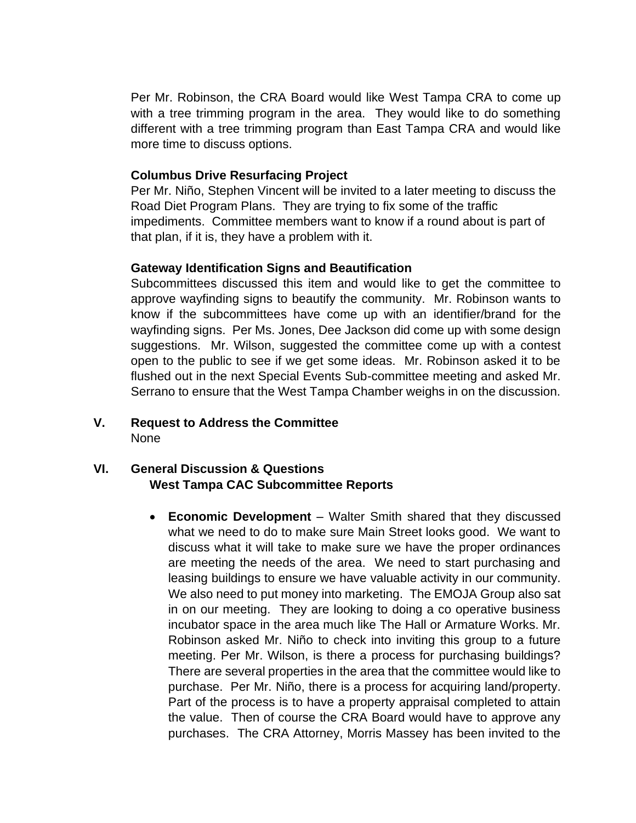Per Mr. Robinson, the CRA Board would like West Tampa CRA to come up with a tree trimming program in the area. They would like to do something different with a tree trimming program than East Tampa CRA and would like more time to discuss options.

## **Columbus Drive Resurfacing Project**

Per Mr. Niño, Stephen Vincent will be invited to a later meeting to discuss the Road Diet Program Plans. They are trying to fix some of the traffic impediments. Committee members want to know if a round about is part of that plan, if it is, they have a problem with it.

## **Gateway Identification Signs and Beautification**

Subcommittees discussed this item and would like to get the committee to approve wayfinding signs to beautify the community. Mr. Robinson wants to know if the subcommittees have come up with an identifier/brand for the wayfinding signs. Per Ms. Jones, Dee Jackson did come up with some design suggestions. Mr. Wilson, suggested the committee come up with a contest open to the public to see if we get some ideas. Mr. Robinson asked it to be flushed out in the next Special Events Sub-committee meeting and asked Mr. Serrano to ensure that the West Tampa Chamber weighs in on the discussion.

**V. Request to Address the Committee** None

# **VI. General Discussion & Questions West Tampa CAC Subcommittee Reports**

• **Economic Development** – Walter Smith shared that they discussed what we need to do to make sure Main Street looks good. We want to discuss what it will take to make sure we have the proper ordinances are meeting the needs of the area. We need to start purchasing and leasing buildings to ensure we have valuable activity in our community. We also need to put money into marketing. The EMOJA Group also sat in on our meeting. They are looking to doing a co operative business incubator space in the area much like The Hall or Armature Works. Mr. Robinson asked Mr. Niño to check into inviting this group to a future meeting. Per Mr. Wilson, is there a process for purchasing buildings? There are several properties in the area that the committee would like to purchase. Per Mr. Niño, there is a process for acquiring land/property. Part of the process is to have a property appraisal completed to attain the value. Then of course the CRA Board would have to approve any purchases. The CRA Attorney, Morris Massey has been invited to the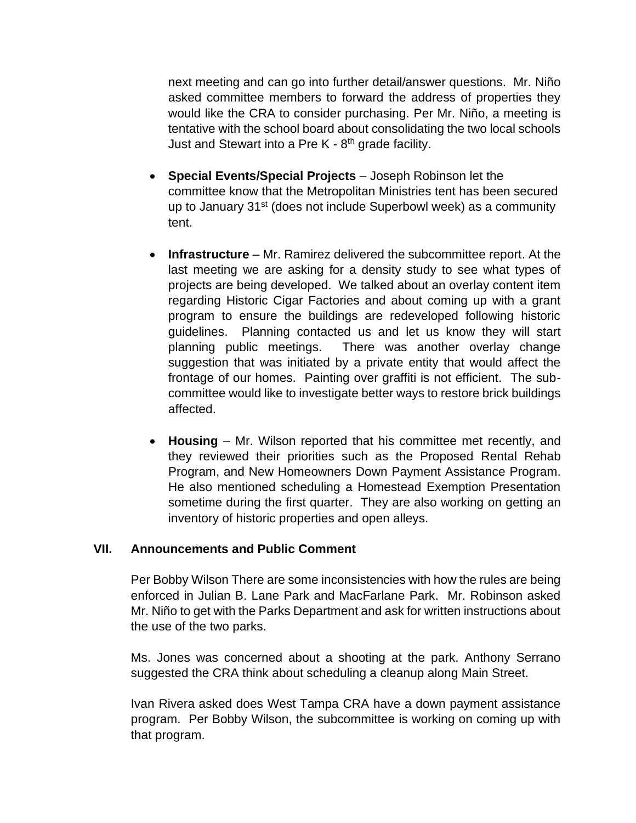next meeting and can go into further detail/answer questions. Mr. Niño asked committee members to forward the address of properties they would like the CRA to consider purchasing. Per Mr. Niño, a meeting is tentative with the school board about consolidating the two local schools Just and Stewart into a Pre K - 8<sup>th</sup> grade facility.

- **Special Events/Special Projects** Joseph Robinson let the committee know that the Metropolitan Ministries tent has been secured up to January 31st (does not include Superbowl week) as a community tent.
- **Infrastructure**  Mr. Ramirez delivered the subcommittee report. At the last meeting we are asking for a density study to see what types of projects are being developed. We talked about an overlay content item regarding Historic Cigar Factories and about coming up with a grant program to ensure the buildings are redeveloped following historic guidelines. Planning contacted us and let us know they will start planning public meetings. There was another overlay change suggestion that was initiated by a private entity that would affect the frontage of our homes. Painting over graffiti is not efficient. The subcommittee would like to investigate better ways to restore brick buildings affected.
- **Housing** Mr. Wilson reported that his committee met recently, and they reviewed their priorities such as the Proposed Rental Rehab Program, and New Homeowners Down Payment Assistance Program. He also mentioned scheduling a Homestead Exemption Presentation sometime during the first quarter. They are also working on getting an inventory of historic properties and open alleys.

## **VII. Announcements and Public Comment**

Per Bobby Wilson There are some inconsistencies with how the rules are being enforced in Julian B. Lane Park and MacFarlane Park. Mr. Robinson asked Mr. Niño to get with the Parks Department and ask for written instructions about the use of the two parks.

Ms. Jones was concerned about a shooting at the park. Anthony Serrano suggested the CRA think about scheduling a cleanup along Main Street.

Ivan Rivera asked does West Tampa CRA have a down payment assistance program. Per Bobby Wilson, the subcommittee is working on coming up with that program.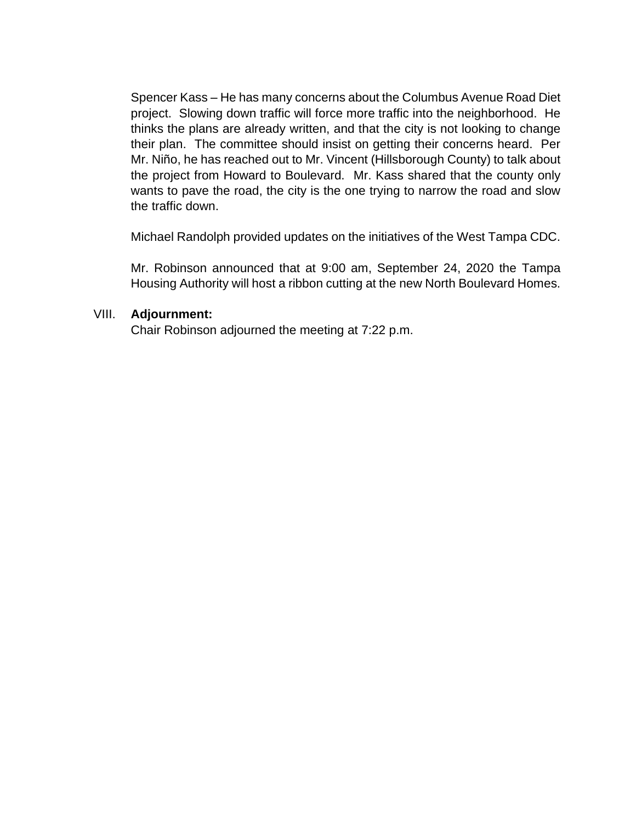Spencer Kass – He has many concerns about the Columbus Avenue Road Diet project. Slowing down traffic will force more traffic into the neighborhood. He thinks the plans are already written, and that the city is not looking to change their plan. The committee should insist on getting their concerns heard. Per Mr. Niño, he has reached out to Mr. Vincent (Hillsborough County) to talk about the project from Howard to Boulevard. Mr. Kass shared that the county only wants to pave the road, the city is the one trying to narrow the road and slow the traffic down.

Michael Randolph provided updates on the initiatives of the West Tampa CDC.

Mr. Robinson announced that at 9:00 am, September 24, 2020 the Tampa Housing Authority will host a ribbon cutting at the new North Boulevard Homes.

## VIII. **Adjournment:**

Chair Robinson adjourned the meeting at 7:22 p.m.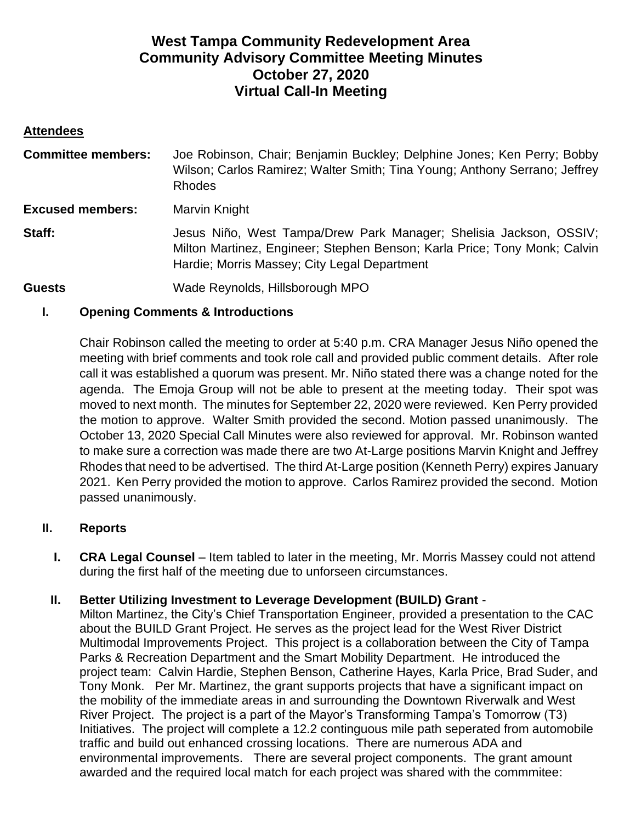# **West Tampa Community Redevelopment Area Community Advisory Committee Meeting Minutes October 27, 2020 Virtual Call-In Meeting**

## **Attendees**

| <b>Committee members:</b> | Joe Robinson, Chair; Benjamin Buckley; Delphine Jones; Ken Perry; Bobby<br>Wilson; Carlos Ramirez; Walter Smith; Tina Young; Anthony Serrano; Jeffrey<br><b>Rhodes</b>                          |
|---------------------------|-------------------------------------------------------------------------------------------------------------------------------------------------------------------------------------------------|
| <b>Excused members:</b>   | Marvin Knight                                                                                                                                                                                   |
| Staff:                    | Jesus Niño, West Tampa/Drew Park Manager; Shelisia Jackson, OSSIV;<br>Milton Martinez, Engineer; Stephen Benson; Karla Price; Tony Monk; Calvin<br>Hardie; Morris Massey; City Legal Department |
| <b>Guests</b>             | Wade Reynolds, Hillsborough MPO                                                                                                                                                                 |

# **I. Opening Comments & Introductions**

Chair Robinson called the meeting to order at 5:40 p.m. CRA Manager Jesus Niño opened the meeting with brief comments and took role call and provided public comment details. After role call it was established a quorum was present. Mr. Niño stated there was a change noted for the agenda. The Emoja Group will not be able to present at the meeting today. Their spot was moved to next month. The minutes for September 22, 2020 were reviewed. Ken Perry provided the motion to approve. Walter Smith provided the second. Motion passed unanimously. The October 13, 2020 Special Call Minutes were also reviewed for approval. Mr. Robinson wanted to make sure a correction was made there are two At-Large positions Marvin Knight and Jeffrey Rhodes that need to be advertised. The third At-Large position (Kenneth Perry) expires January 2021. Ken Perry provided the motion to approve. Carlos Ramirez provided the second. Motion passed unanimously.

## **II. Reports**

**I. CRA Legal Counsel** – Item tabled to later in the meeting, Mr. Morris Massey could not attend during the first half of the meeting due to unforseen circumstances.

## **II. Better Utilizing Investment to Leverage Development (BUILD) Grant** -

Milton Martinez, the City's Chief Transportation Engineer, provided a presentation to the CAC about the BUILD Grant Project. He serves as the project lead for the West River District Multimodal Improvements Project. This project is a collaboration between the City of Tampa Parks & Recreation Department and the Smart Mobility Department. He introduced the project team: Calvin Hardie, Stephen Benson, Catherine Hayes, Karla Price, Brad Suder, and Tony Monk. Per Mr. Martinez, the grant supports projects that have a significant impact on the mobility of the immediate areas in and surrounding the Downtown Riverwalk and West River Project. The project is a part of the Mayor's Transforming Tampa's Tomorrow (T3) Initiatives. The project will complete a 12.2 continguous mile path seperated from automobile traffic and build out enhanced crossing locations. There are numerous ADA and environmental improvements. There are several project components. The grant amount awarded and the required local match for each project was shared with the commmitee: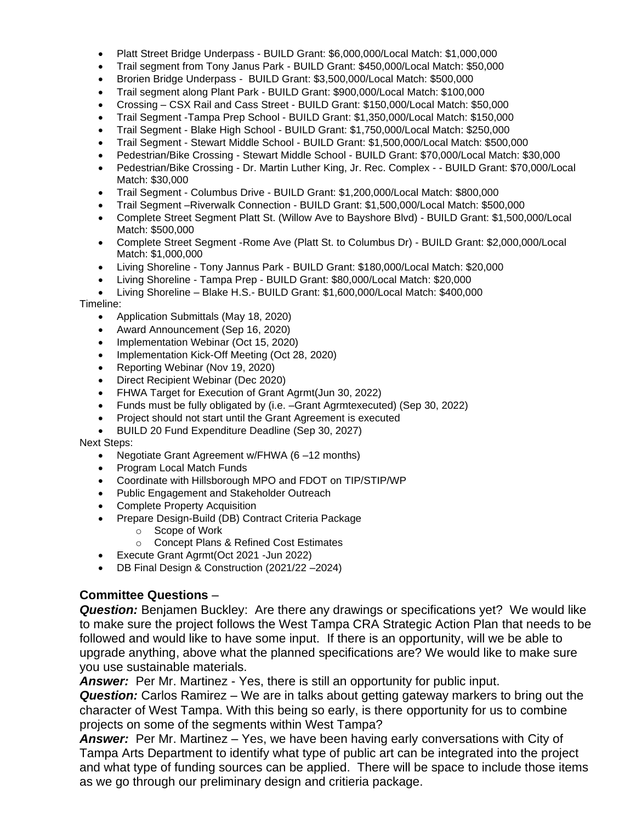- Platt Street Bridge Underpass BUILD Grant: \$6,000,000/Local Match: \$1,000,000
- Trail segment from Tony Janus Park BUILD Grant: \$450,000/Local Match: \$50,000
- Brorien Bridge Underpass BUILD Grant: \$3,500,000/Local Match: \$500,000
- Trail segment along Plant Park BUILD Grant: \$900,000/Local Match: \$100,000
- Crossing CSX Rail and Cass Street BUILD Grant: \$150,000/Local Match: \$50,000
- Trail Segment -Tampa Prep School BUILD Grant: \$1,350,000/Local Match: \$150,000
- Trail Segment Blake High School BUILD Grant: \$1,750,000/Local Match: \$250,000
- Trail Segment Stewart Middle School BUILD Grant: \$1,500,000/Local Match: \$500,000
- Pedestrian/Bike Crossing Stewart Middle School BUILD Grant: \$70,000/Local Match: \$30,000
- Pedestrian/Bike Crossing Dr. Martin Luther King, Jr. Rec. Complex - BUILD Grant: \$70,000/Local Match: \$30,000
- Trail Segment Columbus Drive BUILD Grant: \$1,200,000/Local Match: \$800,000
- Trail Segment –Riverwalk Connection BUILD Grant: \$1,500,000/Local Match: \$500,000
- Complete Street Segment Platt St. (Willow Ave to Bayshore Blvd) BUILD Grant: \$1,500,000/Local Match: \$500,000
- Complete Street Segment -Rome Ave (Platt St. to Columbus Dr) BUILD Grant: \$2,000,000/Local Match: \$1,000,000
- Living Shoreline Tony Jannus Park BUILD Grant: \$180,000/Local Match: \$20,000
- Living Shoreline Tampa Prep BUILD Grant: \$80,000/Local Match: \$20,000

• Living Shoreline – Blake H.S.- BUILD Grant: \$1,600,000/Local Match: \$400,000

Timeline:

- Application Submittals (May 18, 2020)
- Award Announcement (Sep 16, 2020)
- Implementation Webinar (Oct 15, 2020)
- Implementation Kick-Off Meeting (Oct 28, 2020)
- Reporting Webinar (Nov 19, 2020)
- Direct Recipient Webinar (Dec 2020)
- FHWA Target for Execution of Grant Agrmt(Jun 30, 2022)
- Funds must be fully obligated by (i.e. –Grant Agrmtexecuted) (Sep 30, 2022)
- Project should not start until the Grant Agreement is executed
- BUILD 20 Fund Expenditure Deadline (Sep 30, 2027)

Next Steps:

- Negotiate Grant Agreement w/FHWA (6-12 months)
- Program Local Match Funds
- Coordinate with Hillsborough MPO and FDOT on TIP/STIP/WP
- Public Engagement and Stakeholder Outreach
- Complete Property Acquisition
- Prepare Design-Build (DB) Contract Criteria Package
	- o Scope of Work
	- o Concept Plans & Refined Cost Estimates
- Execute Grant Agrmt(Oct 2021 -Jun 2022)
- DB Final Design & Construction (2021/22 –2024)

## **Committee Questions** –

*Question:* Benjamen Buckley: Are there any drawings or specifications yet? We would like to make sure the project follows the West Tampa CRA Strategic Action Plan that needs to be followed and would like to have some input. If there is an opportunity, will we be able to upgrade anything, above what the planned specifications are? We would like to make sure you use sustainable materials.

*Answer:* Per Mr. Martinez - Yes, there is still an opportunity for public input.

*Question:* Carlos Ramirez – We are in talks about getting gateway markers to bring out the character of West Tampa. With this being so early, is there opportunity for us to combine projects on some of the segments within West Tampa?

*Answer:* Per Mr. Martinez – Yes, we have been having early conversations with City of Tampa Arts Department to identify what type of public art can be integrated into the project and what type of funding sources can be applied. There will be space to include those items as we go through our preliminary design and critieria package.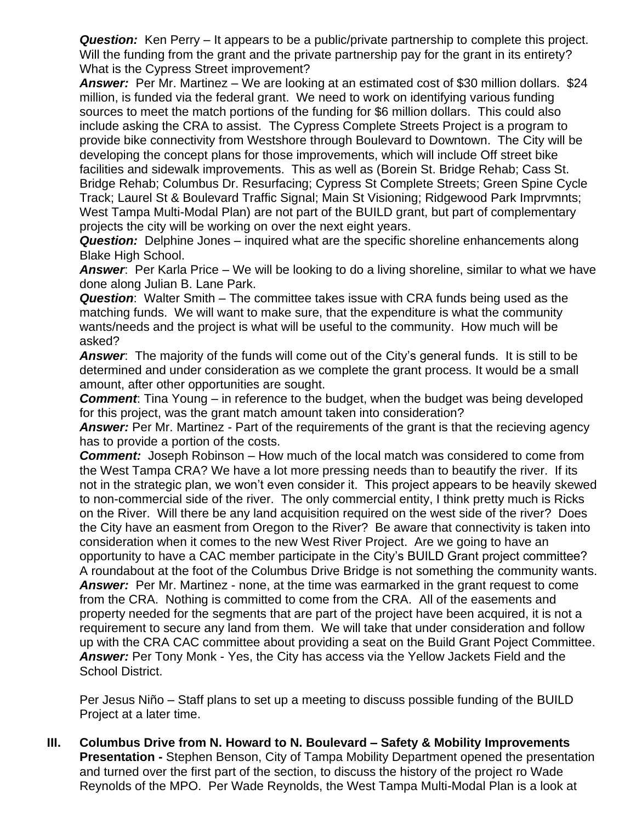**Question:** Ken Perry – It appears to be a public/private partnership to complete this project. Will the funding from the grant and the private partnership pay for the grant in its entirety? What is the Cypress Street improvement?

*Answer:* Per Mr. Martinez – We are looking at an estimated cost of \$30 million dollars. \$24 million, is funded via the federal grant. We need to work on identifying various funding sources to meet the match portions of the funding for \$6 million dollars. This could also include asking the CRA to assist. The Cypress Complete Streets Project is a program to provide bike connectivity from Westshore through Boulevard to Downtown. The City will be developing the concept plans for those improvements, which will include Off street bike facilities and sidewalk improvements. This as well as (Borein St. Bridge Rehab; Cass St. Bridge Rehab; Columbus Dr. Resurfacing; Cypress St Complete Streets; Green Spine Cycle Track; Laurel St & Boulevard Traffic Signal; Main St Visioning; Ridgewood Park Imprvmnts; West Tampa Multi-Modal Plan) are not part of the BUILD grant, but part of complementary projects the city will be working on over the next eight years.

*Question:* Delphine Jones – inquired what are the specific shoreline enhancements along Blake High School.

*Answer*: Per Karla Price – We will be looking to do a living shoreline, similar to what we have done along Julian B. Lane Park.

*Question*: Walter Smith – The committee takes issue with CRA funds being used as the matching funds. We will want to make sure, that the expenditure is what the community wants/needs and the project is what will be useful to the community. How much will be asked?

*Answer*: The majority of the funds will come out of the City's general funds. It is still to be determined and under consideration as we complete the grant process. It would be a small amount, after other opportunities are sought.

*Comment*: Tina Young – in reference to the budget, when the budget was being developed for this project, was the grant match amount taken into consideration?

*Answer:* Per Mr. Martinez - Part of the requirements of the grant is that the recieving agency has to provide a portion of the costs.

*Comment:* Joseph Robinson – How much of the local match was considered to come from the West Tampa CRA? We have a lot more pressing needs than to beautify the river. If its not in the strategic plan, we won't even consider it. This project appears to be heavily skewed to non-commercial side of the river. The only commercial entity, I think pretty much is Ricks on the River. Will there be any land acquisition required on the west side of the river? Does the City have an easment from Oregon to the River? Be aware that connectivity is taken into consideration when it comes to the new West River Project. Are we going to have an opportunity to have a CAC member participate in the City's BUILD Grant project committee? A roundabout at the foot of the Columbus Drive Bridge is not something the community wants. *Answer:* Per Mr. Martinez - none, at the time was earmarked in the grant request to come from the CRA. Nothing is committed to come from the CRA. All of the easements and property needed for the segments that are part of the project have been acquired, it is not a requirement to secure any land from them. We will take that under consideration and follow up with the CRA CAC committee about providing a seat on the Build Grant Poject Committee. *Answer:* Per Tony Monk - Yes, the City has access via the Yellow Jackets Field and the School District.

Per Jesus Niño – Staff plans to set up a meeting to discuss possible funding of the BUILD Project at a later time.

**III. Columbus Drive from N. Howard to N. Boulevard – Safety & Mobility Improvements Presentation -** Stephen Benson, City of Tampa Mobility Department opened the presentation and turned over the first part of the section, to discuss the history of the project ro Wade Reynolds of the MPO. Per Wade Reynolds, the West Tampa Multi-Modal Plan is a look at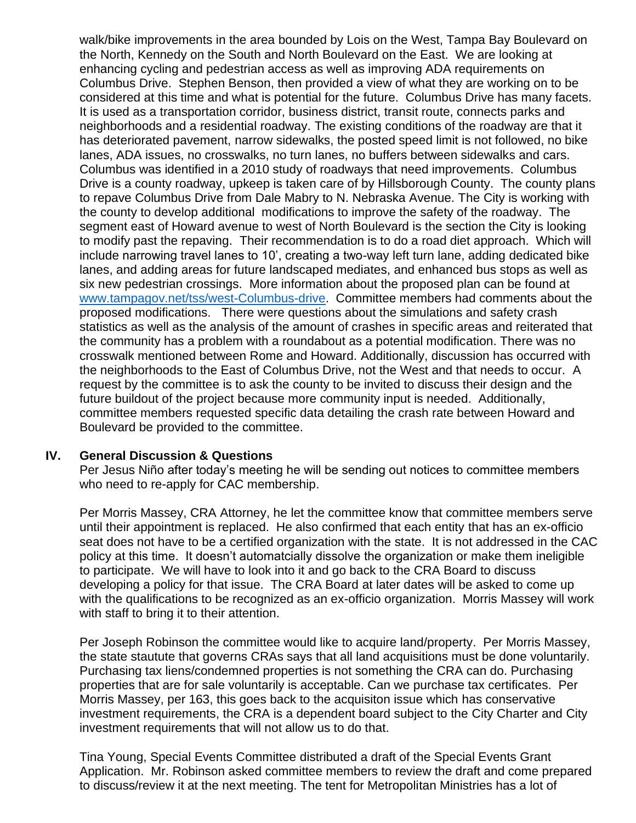walk/bike improvements in the area bounded by Lois on the West, Tampa Bay Boulevard on the North, Kennedy on the South and North Boulevard on the East. We are looking at enhancing cycling and pedestrian access as well as improving ADA requirements on Columbus Drive. Stephen Benson, then provided a view of what they are working on to be considered at this time and what is potential for the future. Columbus Drive has many facets. It is used as a transportation corridor, business district, transit route, connects parks and neighborhoods and a residential roadway. The existing conditions of the roadway are that it has deteriorated pavement, narrow sidewalks, the posted speed limit is not followed, no bike lanes, ADA issues, no crosswalks, no turn lanes, no buffers between sidewalks and cars. Columbus was identified in a 2010 study of roadways that need improvements. Columbus Drive is a county roadway, upkeep is taken care of by Hillsborough County. The county plans to repave Columbus Drive from Dale Mabry to N. Nebraska Avenue. The City is working with the county to develop additional modifications to improve the safety of the roadway. The segment east of Howard avenue to west of North Boulevard is the section the City is looking to modify past the repaving. Their recommendation is to do a road diet approach. Which will include narrowing travel lanes to 10', creating a two-way left turn lane, adding dedicated bike lanes, and adding areas for future landscaped mediates, and enhanced bus stops as well as six new pedestrian crossings. More information about the proposed plan can be found at [www.tampagov.net/tss/west-Columbus-drive.](http://www.tampagov.net/tss/west-Columbus-drive) Committee members had comments about the proposed modifications. There were questions about the simulations and safety crash statistics as well as the analysis of the amount of crashes in specific areas and reiterated that the community has a problem with a roundabout as a potential modification. There was no crosswalk mentioned between Rome and Howard. Additionally, discussion has occurred with the neighborhoods to the East of Columbus Drive, not the West and that needs to occur. A request by the committee is to ask the county to be invited to discuss their design and the future buildout of the project because more community input is needed. Additionally, committee members requested specific data detailing the crash rate between Howard and Boulevard be provided to the committee.

#### **IV. General Discussion & Questions**

Per Jesus Niño after today's meeting he will be sending out notices to committee members who need to re-apply for CAC membership.

Per Morris Massey, CRA Attorney, he let the committee know that committee members serve until their appointment is replaced. He also confirmed that each entity that has an ex-officio seat does not have to be a certified organization with the state. It is not addressed in the CAC policy at this time. It doesn't automatcially dissolve the organization or make them ineligible to participate. We will have to look into it and go back to the CRA Board to discuss developing a policy for that issue. The CRA Board at later dates will be asked to come up with the qualifications to be recognized as an ex-officio organization. Morris Massey will work with staff to bring it to their attention.

Per Joseph Robinson the committee would like to acquire land/property. Per Morris Massey, the state stautute that governs CRAs says that all land acquisitions must be done voluntarily. Purchasing tax liens/condemned properties is not something the CRA can do. Purchasing properties that are for sale voluntarily is acceptable. Can we purchase tax certificates. Per Morris Massey, per 163, this goes back to the acquisiton issue which has conservative investment requirements, the CRA is a dependent board subject to the City Charter and City investment requirements that will not allow us to do that.

Tina Young, Special Events Committee distributed a draft of the Special Events Grant Application. Mr. Robinson asked committee members to review the draft and come prepared to discuss/review it at the next meeting. The tent for Metropolitan Ministries has a lot of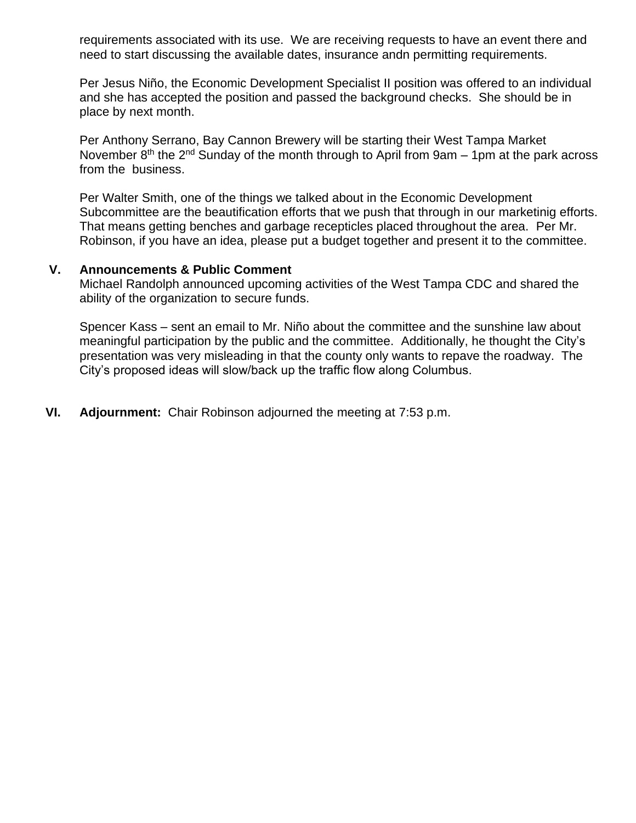requirements associated with its use. We are receiving requests to have an event there and need to start discussing the available dates, insurance andn permitting requirements.

Per Jesus Niño, the Economic Development Specialist II position was offered to an individual and she has accepted the position and passed the background checks. She should be in place by next month.

Per Anthony Serrano, Bay Cannon Brewery will be starting their West Tampa Market November  $8<sup>th</sup>$  the  $2<sup>nd</sup>$  Sunday of the month through to April from 9am – 1pm at the park across from the business.

Per Walter Smith, one of the things we talked about in the Economic Development Subcommittee are the beautification efforts that we push that through in our marketinig efforts. That means getting benches and garbage recepticles placed throughout the area. Per Mr. Robinson, if you have an idea, please put a budget together and present it to the committee.

#### **V. Announcements & Public Comment**

Michael Randolph announced upcoming activities of the West Tampa CDC and shared the ability of the organization to secure funds.

Spencer Kass – sent an email to Mr. Niño about the committee and the sunshine law about meaningful participation by the public and the committee. Additionally, he thought the City's presentation was very misleading in that the county only wants to repave the roadway. The City's proposed ideas will slow/back up the traffic flow along Columbus.

**VI. Adjournment:** Chair Robinson adjourned the meeting at 7:53 p.m.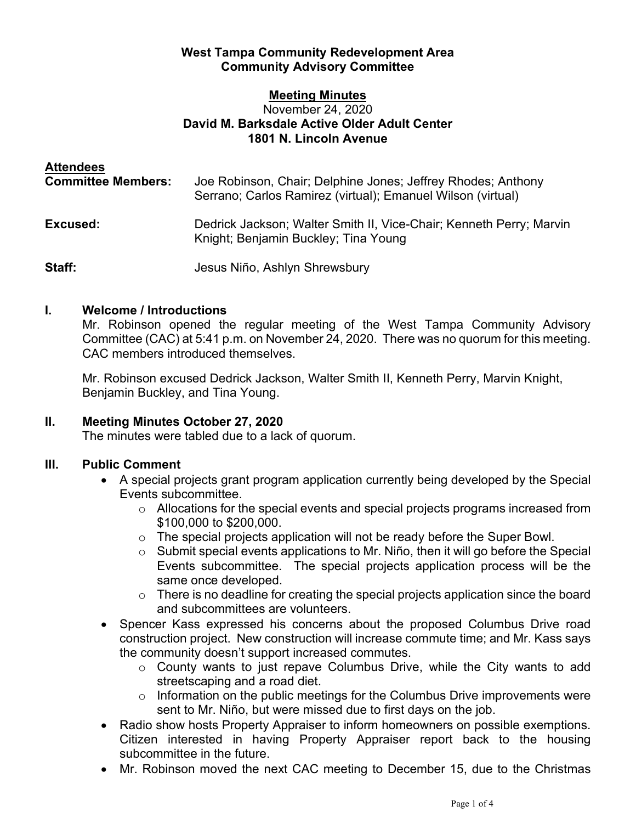## **West Tampa Community Redevelopment Area Community Advisory Committee**

#### **Meeting Minutes** November 24, 2020 **David M. Barksdale Active Older Adult Center 1801 N. Lincoln Avenue**

| <b>Attendees</b><br><b>Committee Members:</b> | Joe Robinson, Chair; Delphine Jones; Jeffrey Rhodes; Anthony<br>Serrano; Carlos Ramirez (virtual); Emanuel Wilson (virtual) |
|-----------------------------------------------|-----------------------------------------------------------------------------------------------------------------------------|
| Excused:                                      | Dedrick Jackson; Walter Smith II, Vice-Chair; Kenneth Perry; Marvin<br>Knight; Benjamin Buckley; Tina Young                 |
| Staff:                                        | Jesus Niño, Ashlyn Shrewsbury                                                                                               |

## **I. Welcome / Introductions**

Mr. Robinson opened the regular meeting of the West Tampa Community Advisory Committee (CAC) at 5:41 p.m. on November 24, 2020. There was no quorum for this meeting. CAC members introduced themselves.

Mr. Robinson excused Dedrick Jackson, Walter Smith II, Kenneth Perry, Marvin Knight, Benjamin Buckley, and Tina Young.

# **II. Meeting Minutes October 27, 2020**

The minutes were tabled due to a lack of quorum.

# **III. Public Comment**

- A special projects grant program application currently being developed by the Special Events subcommittee.
	- o Allocations for the special events and special projects programs increased from \$100,000 to \$200,000.
	- o The special projects application will not be ready before the Super Bowl.
	- o Submit special events applications to Mr. Niño, then it will go before the Special Events subcommittee. The special projects application process will be the same once developed.
	- $\circ$  There is no deadline for creating the special projects application since the board and subcommittees are volunteers.
- Spencer Kass expressed his concerns about the proposed Columbus Drive road construction project. New construction will increase commute time; and Mr. Kass says the community doesn't support increased commutes.
	- o County wants to just repave Columbus Drive, while the City wants to add streetscaping and a road diet.
	- o Information on the public meetings for the Columbus Drive improvements were sent to Mr. Niño, but were missed due to first days on the job.
- Radio show hosts Property Appraiser to inform homeowners on possible exemptions. Citizen interested in having Property Appraiser report back to the housing subcommittee in the future.
- Mr. Robinson moved the next CAC meeting to December 15, due to the Christmas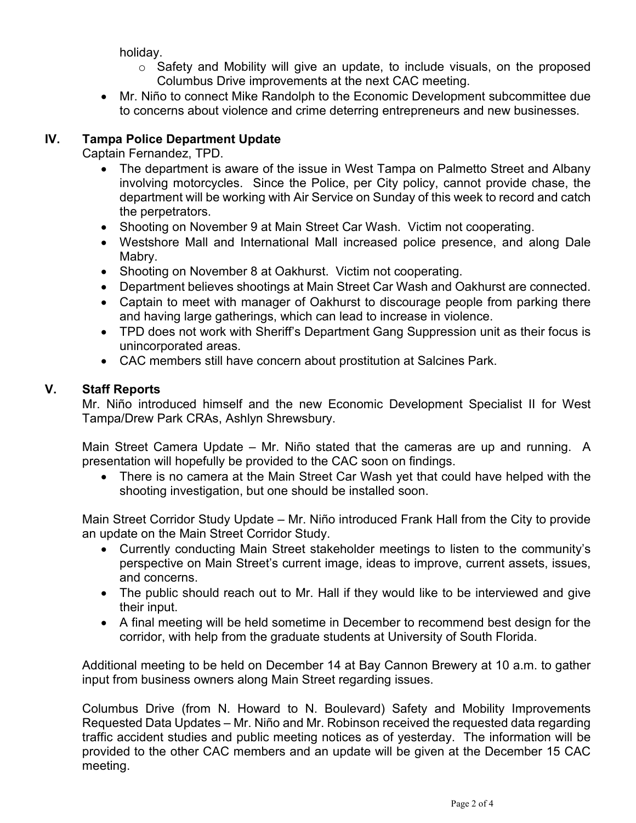holiday.

- $\circ$  Safety and Mobility will give an update, to include visuals, on the proposed Columbus Drive improvements at the next CAC meeting.
- Mr. Niño to connect Mike Randolph to the Economic Development subcommittee due to concerns about violence and crime deterring entrepreneurs and new businesses.

# **IV. Tampa Police Department Update**

Captain Fernandez, TPD.

- The department is aware of the issue in West Tampa on Palmetto Street and Albany involving motorcycles. Since the Police, per City policy, cannot provide chase, the department will be working with Air Service on Sunday of this week to record and catch the perpetrators.
- Shooting on November 9 at Main Street Car Wash. Victim not cooperating.
- Westshore Mall and International Mall increased police presence, and along Dale Mabry.
- Shooting on November 8 at Oakhurst. Victim not cooperating.
- Department believes shootings at Main Street Car Wash and Oakhurst are connected.
- Captain to meet with manager of Oakhurst to discourage people from parking there and having large gatherings, which can lead to increase in violence.
- TPD does not work with Sheriff's Department Gang Suppression unit as their focus is unincorporated areas.
- CAC members still have concern about prostitution at Salcines Park.

# **V. Staff Reports**

Mr. Niño introduced himself and the new Economic Development Specialist II for West Tampa/Drew Park CRAs, Ashlyn Shrewsbury.

Main Street Camera Update – Mr. Niño stated that the cameras are up and running. A presentation will hopefully be provided to the CAC soon on findings.

• There is no camera at the Main Street Car Wash yet that could have helped with the shooting investigation, but one should be installed soon.

Main Street Corridor Study Update – Mr. Niño introduced Frank Hall from the City to provide an update on the Main Street Corridor Study.

- Currently conducting Main Street stakeholder meetings to listen to the community's perspective on Main Street's current image, ideas to improve, current assets, issues, and concerns.
- The public should reach out to Mr. Hall if they would like to be interviewed and give their input.
- A final meeting will be held sometime in December to recommend best design for the corridor, with help from the graduate students at University of South Florida.

Additional meeting to be held on December 14 at Bay Cannon Brewery at 10 a.m. to gather input from business owners along Main Street regarding issues.

Columbus Drive (from N. Howard to N. Boulevard) Safety and Mobility Improvements Requested Data Updates – Mr. Niño and Mr. Robinson received the requested data regarding traffic accident studies and public meeting notices as of yesterday. The information will be provided to the other CAC members and an update will be given at the December 15 CAC meeting.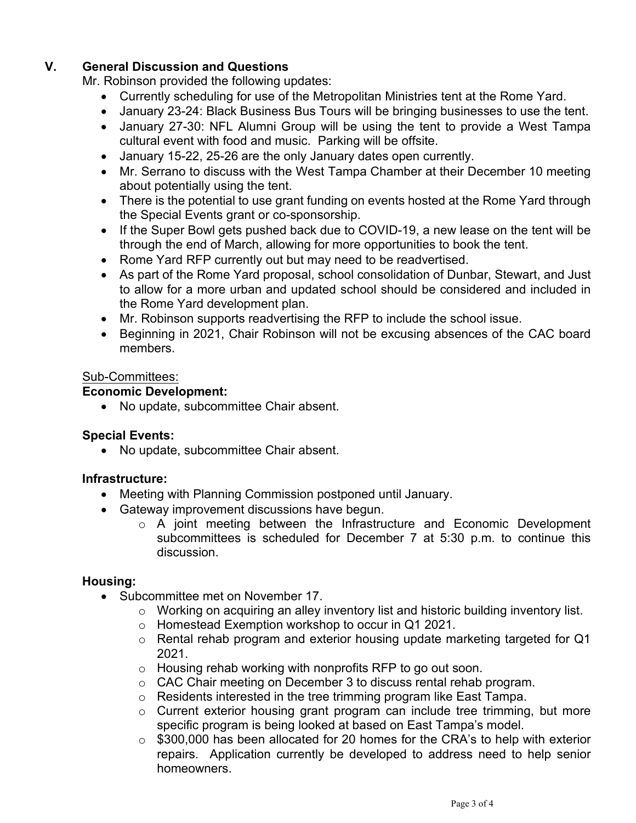# **V. General Discussion and Questions**

Mr. Robinson provided the following updates:

- Currently scheduling for use of the Metropolitan Ministries tent at the Rome Yard.
- January 23-24: Black Business Bus Tours will be bringing businesses to use the tent.
- January 27-30: NFL Alumni Group will be using the tent to provide a West Tampa cultural event with food and music. Parking will be offsite.
- January 15-22, 25-26 are the only January dates open currently.
- Mr. Serrano to discuss with the West Tampa Chamber at their December 10 meeting about potentially using the tent.
- There is the potential to use grant funding on events hosted at the Rome Yard through the Special Events grant or co-sponsorship.
- If the Super Bowl gets pushed back due to COVID-19, a new lease on the tent will be through the end of March, allowing for more opportunities to book the tent.
- Rome Yard RFP currently out but may need to be readvertised.
- As part of the Rome Yard proposal, school consolidation of Dunbar, Stewart, and Just to allow for a more urban and updated school should be considered and included in the Rome Yard development plan.
- Mr. Robinson supports readvertising the RFP to include the school issue.
- Beginning in 2021, Chair Robinson will not be excusing absences of the CAC board members.

## Sub-Committees:

## **Economic Development:**

• No update, subcommittee Chair absent.

## **Special Events:**

• No update, subcommittee Chair absent.

## **Infrastructure:**

- Meeting with Planning Commission postponed until January.
- Gateway improvement discussions have begun.
	- o A joint meeting between the Infrastructure and Economic Development subcommittees is scheduled for December 7 at 5:30 p.m. to continue this discussion.

## **Housing:**

- Subcommittee met on November 17.
	- o Working on acquiring an alley inventory list and historic building inventory list.
	- o Homestead Exemption workshop to occur in Q1 2021.
	- o Rental rehab program and exterior housing update marketing targeted for Q1 2021.
	- o Housing rehab working with nonprofits RFP to go out soon.
	- o CAC Chair meeting on December 3 to discuss rental rehab program.
	- o Residents interested in the tree trimming program like East Tampa.
	- o Current exterior housing grant program can include tree trimming, but more specific program is being looked at based on East Tampa's model.
	- o \$300,000 has been allocated for 20 homes for the CRA's to help with exterior repairs. Application currently be developed to address need to help senior homeowners.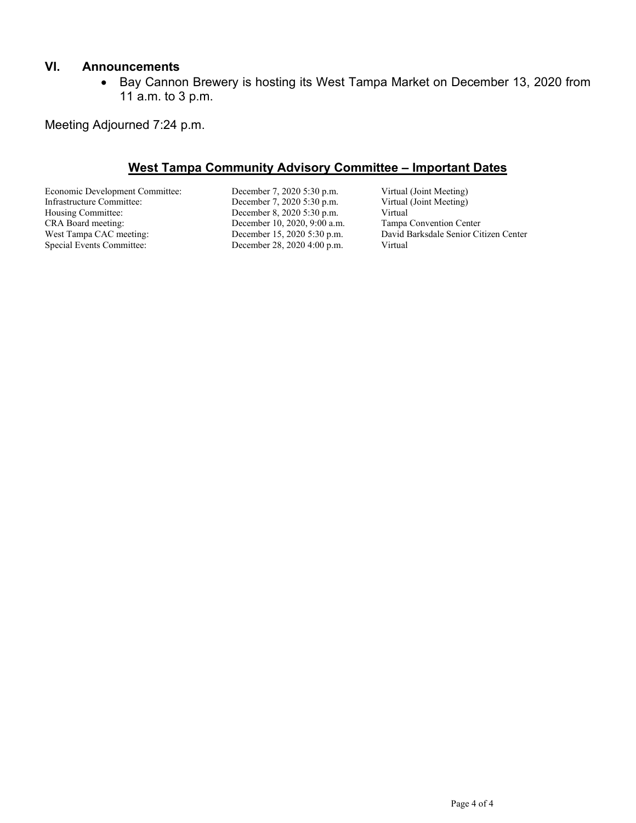#### **VI. Announcements**

• Bay Cannon Brewery is hosting its West Tampa Market on December 13, 2020 from 11 a.m. to 3 p.m.

Meeting Adjourned 7:24 p.m.

## **West Tampa Community Advisory Committee – Important Dates**

Economic Development Committee: December 7, 2020 5:30 p.m. Virtual (Joint Meeting)<br>Infrastructure Committee: December 7, 2020 5:30 p.m. Virtual (Joint Meeting) Infrastructure Committee: December 7, 2020 5:30 p.m. Virtual Housing Committee: December 8, 2020 5:30 p.m. Virtual Housing Committee: December 8, 2020 5:30 p.m. Virtual<br>CRA Board meeting: December 10, 2020, 9:00 a.m. Tampa Convention Center CRA Board meeting: December 10, 2020, 9:00 a.m.<br>West Tampa CAC meeting: December 15, 2020 5:30 p.m.

December 28, 2020 4:00 p.m.

West Tampa CAC meeting: December 15, 2020 5:30 p.m. David Barksdale Senior Citizen Center<br>Special Events Committee: December 28, 2020 4:00 p.m. Virtual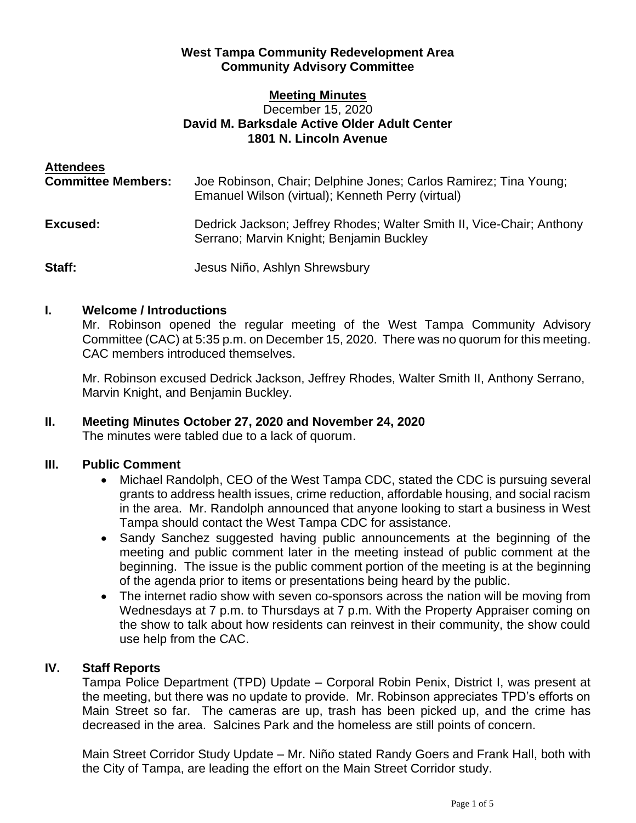## **West Tampa Community Redevelopment Area Community Advisory Committee**

#### **Meeting Minutes** December 15, 2020 **David M. Barksdale Active Older Adult Center 1801 N. Lincoln Avenue**

| <b>Attendees</b><br><b>Committee Members:</b> | Joe Robinson, Chair; Delphine Jones; Carlos Ramirez; Tina Young;<br>Emanuel Wilson (virtual); Kenneth Perry (virtual) |
|-----------------------------------------------|-----------------------------------------------------------------------------------------------------------------------|
| Excused:                                      | Dedrick Jackson; Jeffrey Rhodes; Walter Smith II, Vice-Chair; Anthony<br>Serrano; Marvin Knight; Benjamin Buckley     |
| Staff:                                        | Jesus Niño, Ashlyn Shrewsbury                                                                                         |

## **I. Welcome / Introductions**

Mr. Robinson opened the regular meeting of the West Tampa Community Advisory Committee (CAC) at 5:35 p.m. on December 15, 2020. There was no quorum for this meeting. CAC members introduced themselves.

Mr. Robinson excused Dedrick Jackson, Jeffrey Rhodes, Walter Smith II, Anthony Serrano, Marvin Knight, and Benjamin Buckley.

#### **II. Meeting Minutes October 27, 2020 and November 24, 2020** The minutes were tabled due to a lack of quorum.

# **III. Public Comment**

- Michael Randolph, CEO of the West Tampa CDC, stated the CDC is pursuing several grants to address health issues, crime reduction, affordable housing, and social racism in the area. Mr. Randolph announced that anyone looking to start a business in West Tampa should contact the West Tampa CDC for assistance.
- Sandy Sanchez suggested having public announcements at the beginning of the meeting and public comment later in the meeting instead of public comment at the beginning. The issue is the public comment portion of the meeting is at the beginning of the agenda prior to items or presentations being heard by the public.
- The internet radio show with seven co-sponsors across the nation will be moving from Wednesdays at 7 p.m. to Thursdays at 7 p.m. With the Property Appraiser coming on the show to talk about how residents can reinvest in their community, the show could use help from the CAC.

# **IV. Staff Reports**

Tampa Police Department (TPD) Update – Corporal Robin Penix, District I, was present at the meeting, but there was no update to provide. Mr. Robinson appreciates TPD's efforts on Main Street so far. The cameras are up, trash has been picked up, and the crime has decreased in the area. Salcines Park and the homeless are still points of concern.

Main Street Corridor Study Update – Mr. Niño stated Randy Goers and Frank Hall, both with the City of Tampa, are leading the effort on the Main Street Corridor study.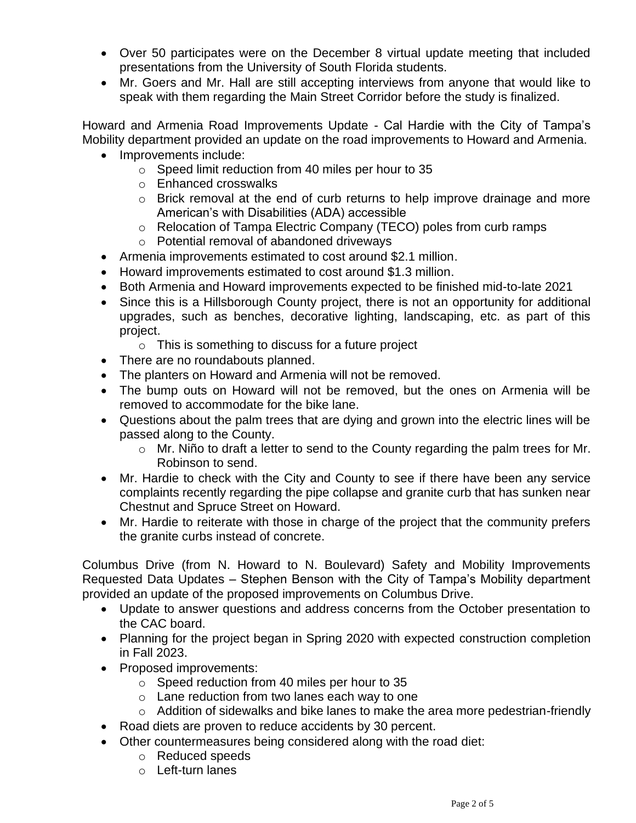- Over 50 participates were on the December 8 virtual update meeting that included presentations from the University of South Florida students.
- Mr. Goers and Mr. Hall are still accepting interviews from anyone that would like to speak with them regarding the Main Street Corridor before the study is finalized.

Howard and Armenia Road Improvements Update - Cal Hardie with the City of Tampa's Mobility department provided an update on the road improvements to Howard and Armenia.

- Improvements include:
	- o Speed limit reduction from 40 miles per hour to 35
	- o Enhanced crosswalks
	- o Brick removal at the end of curb returns to help improve drainage and more American's with Disabilities (ADA) accessible
	- o Relocation of Tampa Electric Company (TECO) poles from curb ramps
	- o Potential removal of abandoned driveways
- Armenia improvements estimated to cost around \$2.1 million.
- Howard improvements estimated to cost around \$1.3 million.
- Both Armenia and Howard improvements expected to be finished mid-to-late 2021
- Since this is a Hillsborough County project, there is not an opportunity for additional upgrades, such as benches, decorative lighting, landscaping, etc. as part of this project.
	- $\circ$  This is something to discuss for a future project
- There are no roundabouts planned.
- The planters on Howard and Armenia will not be removed.
- The bump outs on Howard will not be removed, but the ones on Armenia will be removed to accommodate for the bike lane.
- Questions about the palm trees that are dying and grown into the electric lines will be passed along to the County.
	- o Mr. Niño to draft a letter to send to the County regarding the palm trees for Mr. Robinson to send.
- Mr. Hardie to check with the City and County to see if there have been any service complaints recently regarding the pipe collapse and granite curb that has sunken near Chestnut and Spruce Street on Howard.
- Mr. Hardie to reiterate with those in charge of the project that the community prefers the granite curbs instead of concrete.

Columbus Drive (from N. Howard to N. Boulevard) Safety and Mobility Improvements Requested Data Updates – Stephen Benson with the City of Tampa's Mobility department provided an update of the proposed improvements on Columbus Drive.

- Update to answer questions and address concerns from the October presentation to the CAC board.
- Planning for the project began in Spring 2020 with expected construction completion in Fall 2023.
- Proposed improvements:
	- o Speed reduction from 40 miles per hour to 35
	- o Lane reduction from two lanes each way to one
	- o Addition of sidewalks and bike lanes to make the area more pedestrian-friendly
- Road diets are proven to reduce accidents by 30 percent.
- Other countermeasures being considered along with the road diet:
	- o Reduced speeds
	- o Left-turn lanes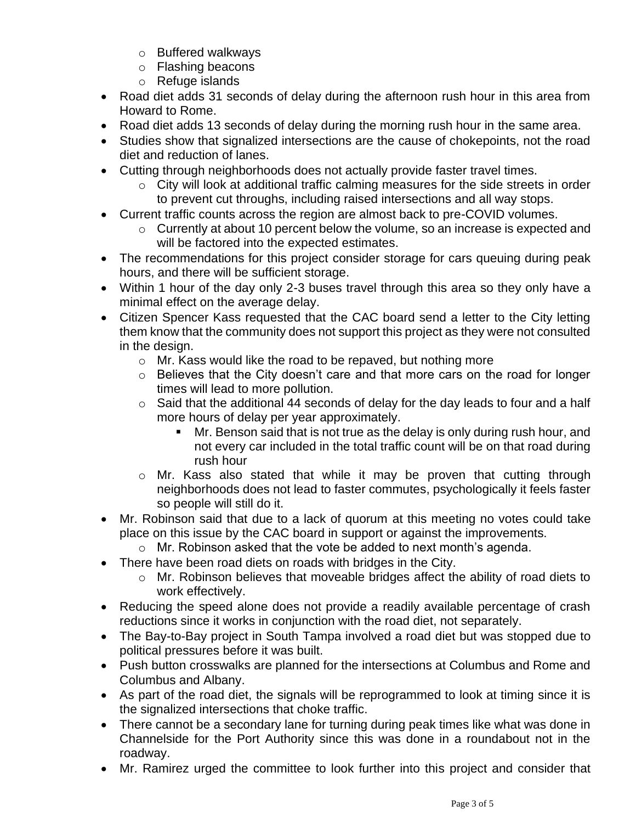- o Buffered walkways
- o Flashing beacons
- o Refuge islands
- Road diet adds 31 seconds of delay during the afternoon rush hour in this area from Howard to Rome.
- Road diet adds 13 seconds of delay during the morning rush hour in the same area.
- Studies show that signalized intersections are the cause of chokepoints, not the road diet and reduction of lanes.
- Cutting through neighborhoods does not actually provide faster travel times.
	- o City will look at additional traffic calming measures for the side streets in order to prevent cut throughs, including raised intersections and all way stops.
- Current traffic counts across the region are almost back to pre-COVID volumes.
	- o Currently at about 10 percent below the volume, so an increase is expected and will be factored into the expected estimates.
- The recommendations for this project consider storage for cars queuing during peak hours, and there will be sufficient storage.
- Within 1 hour of the day only 2-3 buses travel through this area so they only have a minimal effect on the average delay.
- Citizen Spencer Kass requested that the CAC board send a letter to the City letting them know that the community does not support this project as they were not consulted in the design.
	- o Mr. Kass would like the road to be repaved, but nothing more
	- o Believes that the City doesn't care and that more cars on the road for longer times will lead to more pollution.
	- $\circ$  Said that the additional 44 seconds of delay for the day leads to four and a half more hours of delay per year approximately.
		- Mr. Benson said that is not true as the delay is only during rush hour, and not every car included in the total traffic count will be on that road during rush hour
	- o Mr. Kass also stated that while it may be proven that cutting through neighborhoods does not lead to faster commutes, psychologically it feels faster so people will still do it.
- Mr. Robinson said that due to a lack of quorum at this meeting no votes could take place on this issue by the CAC board in support or against the improvements.
	- o Mr. Robinson asked that the vote be added to next month's agenda.
- There have been road diets on roads with bridges in the City.
	- o Mr. Robinson believes that moveable bridges affect the ability of road diets to work effectively.
- Reducing the speed alone does not provide a readily available percentage of crash reductions since it works in conjunction with the road diet, not separately.
- The Bay-to-Bay project in South Tampa involved a road diet but was stopped due to political pressures before it was built.
- Push button crosswalks are planned for the intersections at Columbus and Rome and Columbus and Albany.
- As part of the road diet, the signals will be reprogrammed to look at timing since it is the signalized intersections that choke traffic.
- There cannot be a secondary lane for turning during peak times like what was done in Channelside for the Port Authority since this was done in a roundabout not in the roadway.
- Mr. Ramirez urged the committee to look further into this project and consider that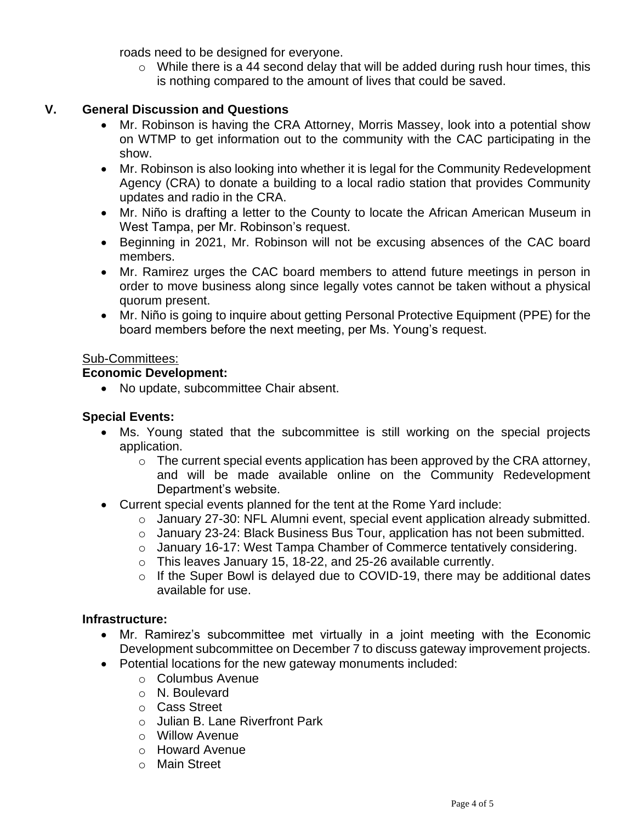roads need to be designed for everyone.

 $\circ$  While there is a 44 second delay that will be added during rush hour times, this is nothing compared to the amount of lives that could be saved.

## **V. General Discussion and Questions**

- Mr. Robinson is having the CRA Attorney, Morris Massey, look into a potential show on WTMP to get information out to the community with the CAC participating in the show.
- Mr. Robinson is also looking into whether it is legal for the Community Redevelopment Agency (CRA) to donate a building to a local radio station that provides Community updates and radio in the CRA.
- Mr. Niño is drafting a letter to the County to locate the African American Museum in West Tampa, per Mr. Robinson's request.
- Beginning in 2021, Mr. Robinson will not be excusing absences of the CAC board members.
- Mr. Ramirez urges the CAC board members to attend future meetings in person in order to move business along since legally votes cannot be taken without a physical quorum present.
- Mr. Niño is going to inquire about getting Personal Protective Equipment (PPE) for the board members before the next meeting, per Ms. Young's request.

## Sub-Committees:

## **Economic Development:**

• No update, subcommittee Chair absent.

#### **Special Events:**

- Ms. Young stated that the subcommittee is still working on the special projects application.
	- $\circ$  The current special events application has been approved by the CRA attorney, and will be made available online on the Community Redevelopment Department's website.
- Current special events planned for the tent at the Rome Yard include:
	- o January 27-30: NFL Alumni event, special event application already submitted.
	- o January 23-24: Black Business Bus Tour, application has not been submitted.
	- $\circ$  January 16-17: West Tampa Chamber of Commerce tentatively considering.
	- o This leaves January 15, 18-22, and 25-26 available currently.
	- $\circ$  If the Super Bowl is delayed due to COVID-19, there may be additional dates available for use.

#### **Infrastructure:**

- Mr. Ramirez's subcommittee met virtually in a joint meeting with the Economic Development subcommittee on December 7 to discuss gateway improvement projects.
- Potential locations for the new gateway monuments included:
	- o Columbus Avenue
	- o N. Boulevard
	- o Cass Street
	- o Julian B. Lane Riverfront Park
	- o Willow Avenue
	- o Howard Avenue
	- o Main Street